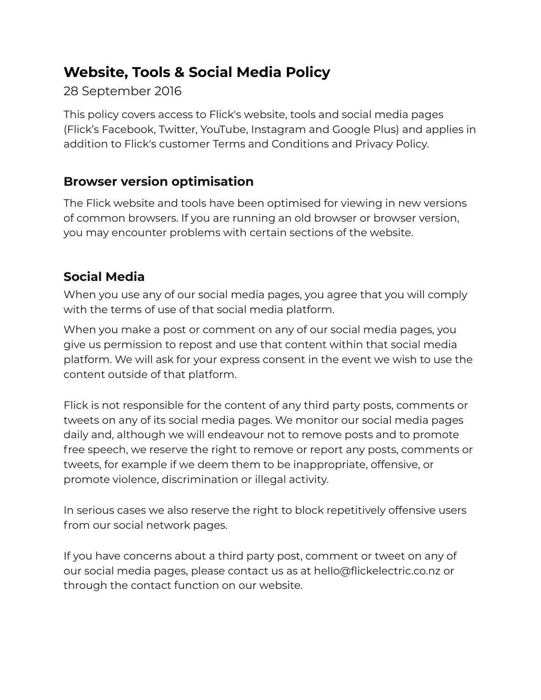# **Website, Tools & Social Media Policy**

### 28 September 2016

This policy covers access to Flick's website, tools and social media pages (Flick's Facebook, Twitter, YouTube, Instagram and Google Plus) and applies in addition to Flick's customer Terms and Conditions and Privacy Policy.

# **Browser version optimisation**

The Flick website and tools have been optimised for viewing in new versions of common browsers. If you are running an old browser or browser version, you may encounter problems with certain sections of the website.

# **Social Media**

When you use any of our social media pages, you agree that you will comply with the terms of use of that social media platform.

When you make a post or comment on any of our social media pages, you give us permission to repost and use that content within that social media platform. We will ask for your express consent in the event we wish to use the content outside of that platform.

Flick is not responsible for the content of any third party posts, comments or tweets on any of its social media pages. We monitor our social media pages daily and, although we will endeavour not to remove posts and to promote free speech, we reserve the right to remove or report any posts, comments or tweets, for example if we deem them to be inappropriate, offensive, or promote violence, discrimination or illegal activity.

In serious cases we also reserve the right to block repetitively offensive users from our social network pages.

If you have concerns about a third party post, comment or tweet on any of our social media pages, please contact us as at hello@flickelectric.co.nz or through the contact function on our website.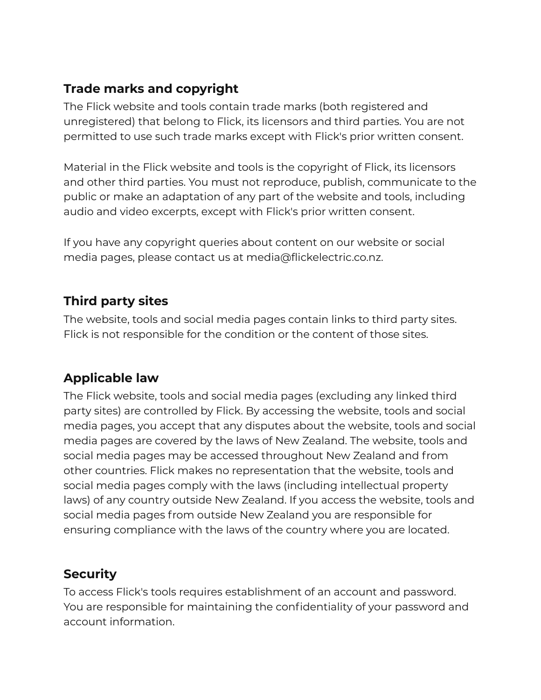#### **Trade marks and copyright**

The Flick website and tools contain trade marks (both registered and unregistered) that belong to Flick, its licensors and third parties. You are not permitted to use such trade marks except with Flick's prior written consent.

Material in the Flick website and tools is the copyright of Flick, its licensors and other third parties. You must not reproduce, publish, communicate to the public or make an adaptation of any part of the website and tools, including audio and video excerpts, except with Flick's prior written consent.

If you have any copyright queries about content on our website or social media pages, please contact us at media@flickelectric.co.nz.

#### **Third party sites**

The website, tools and social media pages contain links to third party sites. Flick is not responsible for the condition or the content of those sites.

### **Applicable law**

The Flick website, tools and social media pages (excluding any linked third party sites) are controlled by Flick. By accessing the website, tools and social media pages, you accept that any disputes about the website, tools and social media pages are covered by the laws of New Zealand. The website, tools and social media pages may be accessed throughout New Zealand and from other countries. Flick makes no representation that the website, tools and social media pages comply with the laws (including intellectual property laws) of any country outside New Zealand. If you access the website, tools and social media pages from outside New Zealand you are responsible for ensuring compliance with the laws of the country where you are located.

#### **Security**

To access Flick's tools requires establishment of an account and password. You are responsible for maintaining the confidentiality of your password and account information.